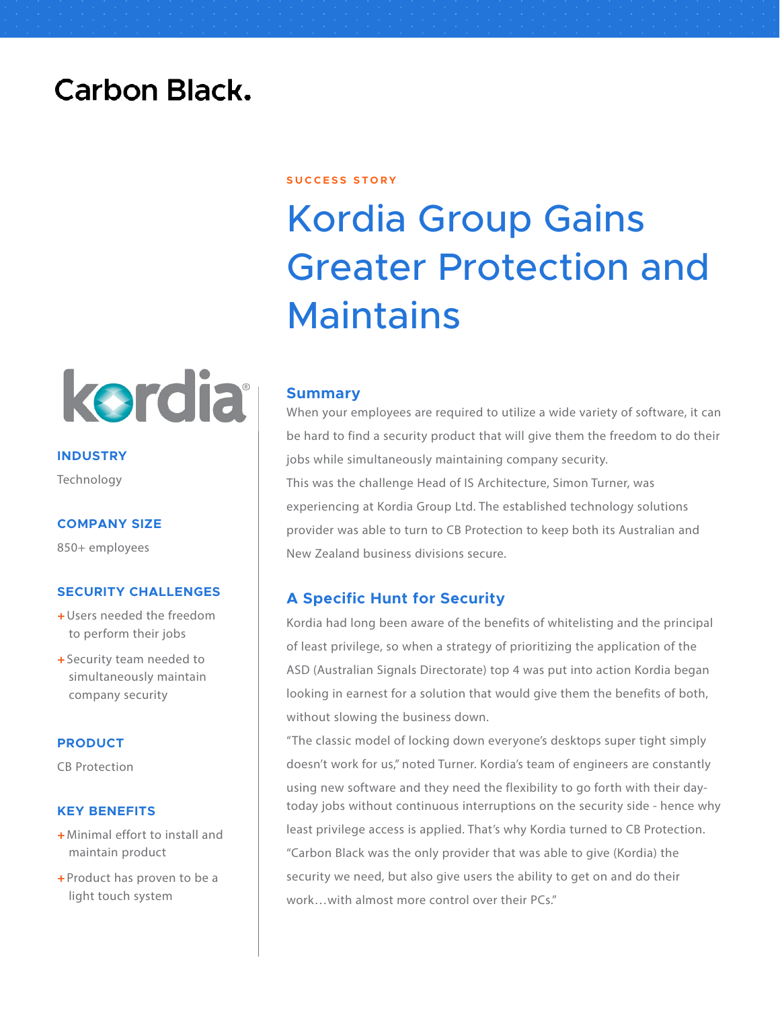## **Carbon Black.**



**INDUSTRY** Technology

### **COMPANY SIZE**

850+ employees

### **SECURITY CHALLENGES**

- + Users needed the freedom to perform their jobs
- + Security team needed to simultaneously maintain company security

### **PRODUCT**

CB Protection

### **KEY BENEFITS**

- + Minimal effort to install and maintain product
- $\div$  Product has proven to be a light touch system

### **S U C C E S S S T O R Y**

# Kordia Group Gains Greater Protection and **Maintains**

### **Summary**

When your employees are required to utilize a wide variety of software, it can be hard to find a security product that will give them the freedom to do their jobs while simultaneously maintaining company security. This was the challenge Head of IS Architecture, Simon Turner, was experiencing at Kordia Group Ltd. The established technology solutions provider was able to turn to CB Protection to keep both its Australian and New Zealand business divisions secure.

### **A Specific Hunt for Security**

Kordia had long been aware of the benefits of whitelisting and the principal of least privilege, so when a strategy of prioritizing the application of the ASD (Australian Signals Directorate) top 4 was put into action Kordia began looking in earnest for a solution that would give them the benefits of both, without slowing the business down.

"The classic model of locking down everyone's desktops super tight simply doesn't work for us," noted Turner. Kordia's team of engineers are constantly using new software and they need the flexibility to go forth with their daytoday jobs without continuous interruptions on the security side - hence why least privilege access is applied. That's why Kordia turned to CB Protection. "Carbon Black was the only provider that was able to give (Kordia) the security we need, but also give users the ability to get on and do their work…with almost more control over their PCs."